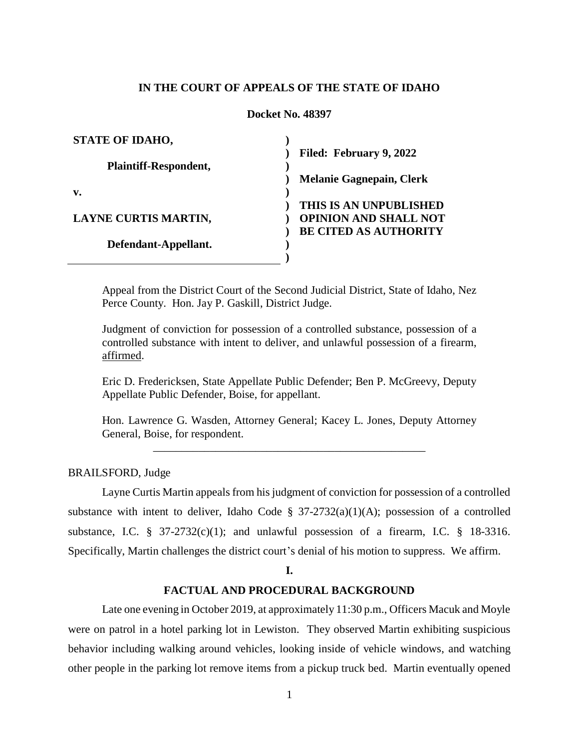## **IN THE COURT OF APPEALS OF THE STATE OF IDAHO**

## **Docket No. 48397**

| <b>STATE OF IDAHO,</b>      |                                 |
|-----------------------------|---------------------------------|
|                             | Filed: February 9, 2022         |
| Plaintiff-Respondent,       |                                 |
|                             | <b>Melanie Gagnepain, Clerk</b> |
| v.                          |                                 |
|                             | THIS IS AN UNPUBLISHED          |
| <b>LAYNE CURTIS MARTIN,</b> | <b>OPINION AND SHALL NOT</b>    |
|                             | <b>BE CITED AS AUTHORITY</b>    |
| Defendant-Appellant.        |                                 |
|                             |                                 |

Appeal from the District Court of the Second Judicial District, State of Idaho, Nez Perce County. Hon. Jay P. Gaskill, District Judge.

Judgment of conviction for possession of a controlled substance, possession of a controlled substance with intent to deliver, and unlawful possession of a firearm, affirmed.

Eric D. Fredericksen, State Appellate Public Defender; Ben P. McGreevy, Deputy Appellate Public Defender, Boise, for appellant.

Hon. Lawrence G. Wasden, Attorney General; Kacey L. Jones, Deputy Attorney General, Boise, for respondent. \_\_\_\_\_\_\_\_\_\_\_\_\_\_\_\_\_\_\_\_\_\_\_\_\_\_\_\_\_\_\_\_\_\_\_\_\_\_\_\_\_\_\_\_\_\_\_\_

BRAILSFORD, Judge

Layne Curtis Martin appeals from his judgment of conviction for possession of a controlled substance with intent to deliver, Idaho Code §  $37-2732(a)(1)(A)$ ; possession of a controlled substance, I.C.  $\frac{8}{37}$  37-2732(c)(1); and unlawful possession of a firearm, I.C.  $\frac{8}{3}$  18-3316. Specifically, Martin challenges the district court's denial of his motion to suppress. We affirm.

#### **I.**

# **FACTUAL AND PROCEDURAL BACKGROUND**

Late one evening in October 2019, at approximately 11:30 p.m., Officers Macuk and Moyle were on patrol in a hotel parking lot in Lewiston. They observed Martin exhibiting suspicious behavior including walking around vehicles, looking inside of vehicle windows, and watching other people in the parking lot remove items from a pickup truck bed. Martin eventually opened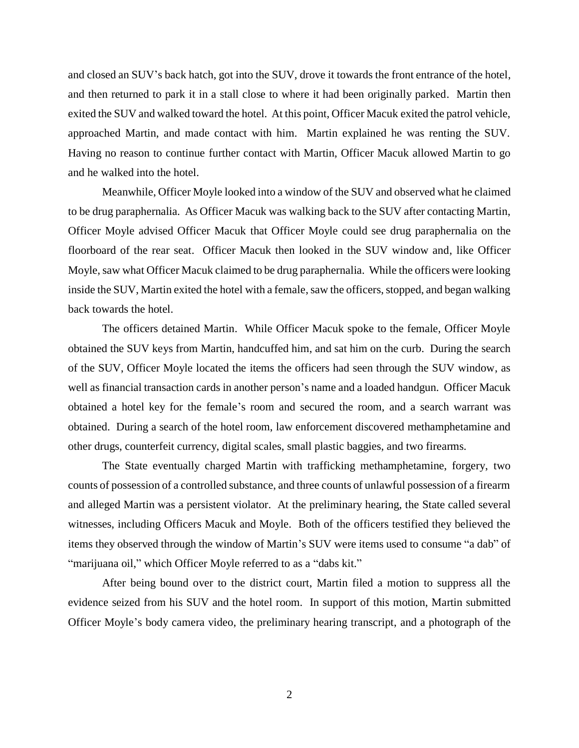and closed an SUV's back hatch, got into the SUV, drove it towards the front entrance of the hotel, and then returned to park it in a stall close to where it had been originally parked. Martin then exited the SUV and walked toward the hotel. At this point, Officer Macuk exited the patrol vehicle, approached Martin, and made contact with him. Martin explained he was renting the SUV. Having no reason to continue further contact with Martin, Officer Macuk allowed Martin to go and he walked into the hotel.

Meanwhile, Officer Moyle looked into a window of the SUV and observed what he claimed to be drug paraphernalia. As Officer Macuk was walking back to the SUV after contacting Martin, Officer Moyle advised Officer Macuk that Officer Moyle could see drug paraphernalia on the floorboard of the rear seat. Officer Macuk then looked in the SUV window and, like Officer Moyle, saw what Officer Macuk claimed to be drug paraphernalia. While the officers were looking inside the SUV, Martin exited the hotel with a female, saw the officers, stopped, and began walking back towards the hotel.

The officers detained Martin. While Officer Macuk spoke to the female, Officer Moyle obtained the SUV keys from Martin, handcuffed him, and sat him on the curb. During the search of the SUV, Officer Moyle located the items the officers had seen through the SUV window, as well as financial transaction cards in another person's name and a loaded handgun. Officer Macuk obtained a hotel key for the female's room and secured the room, and a search warrant was obtained. During a search of the hotel room, law enforcement discovered methamphetamine and other drugs, counterfeit currency, digital scales, small plastic baggies, and two firearms.

The State eventually charged Martin with trafficking methamphetamine, forgery, two counts of possession of a controlled substance, and three counts of unlawful possession of a firearm and alleged Martin was a persistent violator. At the preliminary hearing, the State called several witnesses, including Officers Macuk and Moyle. Both of the officers testified they believed the items they observed through the window of Martin's SUV were items used to consume "a dab" of "marijuana oil," which Officer Moyle referred to as a "dabs kit."

After being bound over to the district court, Martin filed a motion to suppress all the evidence seized from his SUV and the hotel room. In support of this motion, Martin submitted Officer Moyle's body camera video, the preliminary hearing transcript, and a photograph of the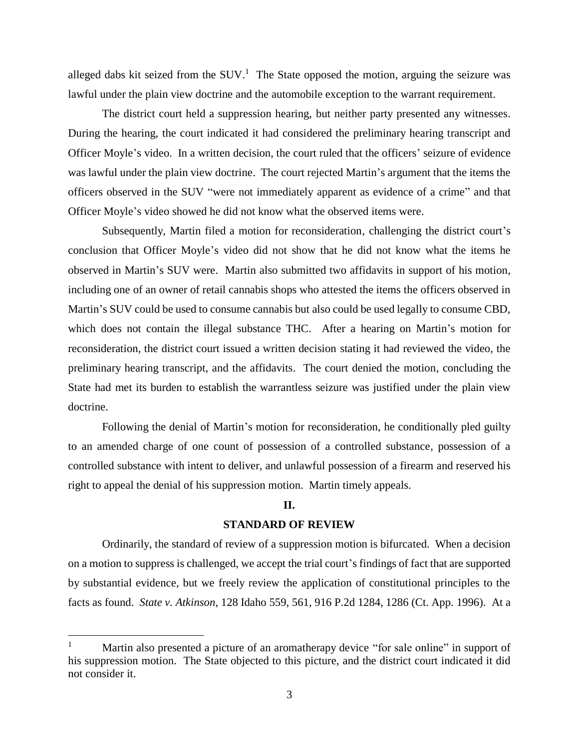alleged dabs kit seized from the  $\text{SUV}$ .<sup>1</sup> The State opposed the motion, arguing the seizure was lawful under the plain view doctrine and the automobile exception to the warrant requirement.

The district court held a suppression hearing, but neither party presented any witnesses. During the hearing, the court indicated it had considered the preliminary hearing transcript and Officer Moyle's video. In a written decision, the court ruled that the officers' seizure of evidence was lawful under the plain view doctrine. The court rejected Martin's argument that the items the officers observed in the SUV "were not immediately apparent as evidence of a crime" and that Officer Moyle's video showed he did not know what the observed items were.

Subsequently, Martin filed a motion for reconsideration, challenging the district court's conclusion that Officer Moyle's video did not show that he did not know what the items he observed in Martin's SUV were. Martin also submitted two affidavits in support of his motion, including one of an owner of retail cannabis shops who attested the items the officers observed in Martin's SUV could be used to consume cannabis but also could be used legally to consume CBD, which does not contain the illegal substance THC. After a hearing on Martin's motion for reconsideration, the district court issued a written decision stating it had reviewed the video, the preliminary hearing transcript, and the affidavits. The court denied the motion, concluding the State had met its burden to establish the warrantless seizure was justified under the plain view doctrine.

Following the denial of Martin's motion for reconsideration, he conditionally pled guilty to an amended charge of one count of possession of a controlled substance, possession of a controlled substance with intent to deliver, and unlawful possession of a firearm and reserved his right to appeal the denial of his suppression motion. Martin timely appeals.

# **II.**

## **STANDARD OF REVIEW**

Ordinarily, the standard of review of a suppression motion is bifurcated. When a decision on a motion to suppress is challenged, we accept the trial court's findings of fact that are supported by substantial evidence, but we freely review the application of constitutional principles to the facts as found. *State v. Atkinson*, 128 Idaho 559, 561, 916 P.2d 1284, 1286 (Ct. App. 1996). At a

 $\overline{a}$ 

<sup>&</sup>lt;sup>1</sup> Martin also presented a picture of an aromatherapy device "for sale online" in support of his suppression motion. The State objected to this picture, and the district court indicated it did not consider it.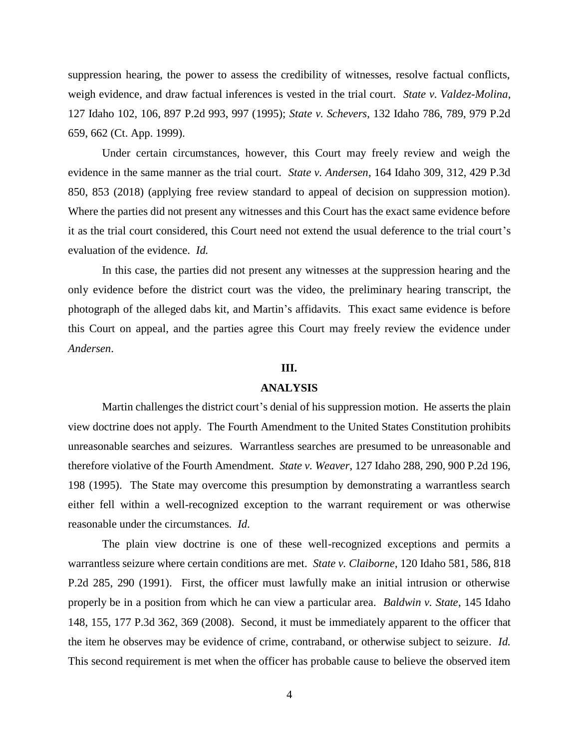suppression hearing, the power to assess the credibility of witnesses, resolve factual conflicts, weigh evidence, and draw factual inferences is vested in the trial court. *State v. Valdez-Molina*, 127 Idaho 102, 106, 897 P.2d 993, 997 (1995); *State v. Schevers*, 132 Idaho 786, 789, 979 P.2d 659, 662 (Ct. App. 1999).

Under certain circumstances, however, this Court may freely review and weigh the evidence in the same manner as the trial court. *State v. Andersen*, 164 Idaho 309, 312, 429 P.3d 850, 853 (2018) (applying free review standard to appeal of decision on suppression motion). Where the parties did not present any witnesses and this Court has the exact same evidence before it as the trial court considered, this Court need not extend the usual deference to the trial court's evaluation of the evidence. *Id.*

In this case, the parties did not present any witnesses at the suppression hearing and the only evidence before the district court was the video, the preliminary hearing transcript, the photograph of the alleged dabs kit, and Martin's affidavits. This exact same evidence is before this Court on appeal, and the parties agree this Court may freely review the evidence under *Andersen*.

#### **III.**

#### **ANALYSIS**

Martin challenges the district court's denial of his suppression motion. He asserts the plain view doctrine does not apply. The Fourth Amendment to the United States Constitution prohibits unreasonable searches and seizures. Warrantless searches are presumed to be unreasonable and therefore violative of the Fourth Amendment. *State v. Weaver*, 127 Idaho 288, 290, 900 P.2d 196, 198 (1995). The State may overcome this presumption by demonstrating a warrantless search either fell within a well-recognized exception to the warrant requirement or was otherwise reasonable under the circumstances. *Id*.

The plain view doctrine is one of these well-recognized exceptions and permits a warrantless seizure where certain conditions are met. *State v. Claiborne*, 120 Idaho 581, 586, 818 P.2d 285, 290 (1991). First, the officer must lawfully make an initial intrusion or otherwise properly be in a position from which he can view a particular area. *Baldwin v. State*, 145 Idaho 148, 155, 177 P.3d 362, 369 (2008). Second, it must be immediately apparent to the officer that the item he observes may be evidence of crime, contraband, or otherwise subject to seizure. *Id.* This second requirement is met when the officer has probable cause to believe the observed item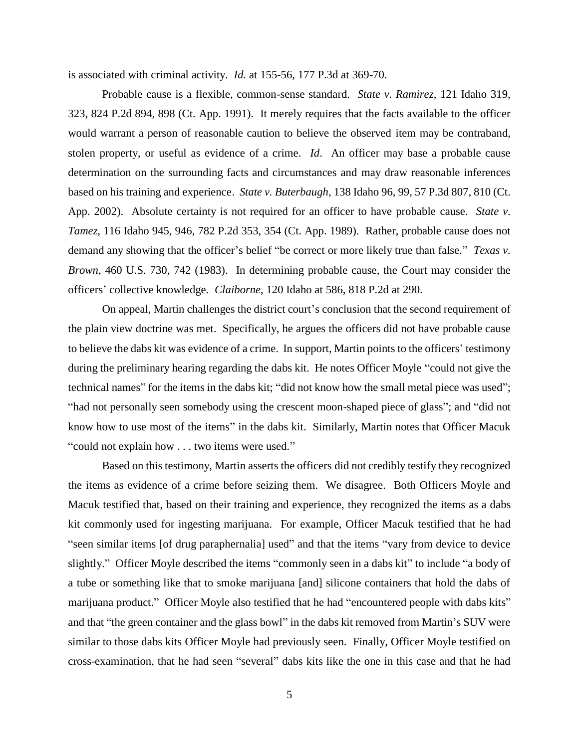is associated with criminal activity. *Id.* at 155-56, 177 P.3d at 369-70.

Probable cause is a flexible, common-sense standard. *State v. Ramirez*, 121 Idaho 319, 323, 824 P.2d 894, 898 (Ct. App. 1991). It merely requires that the facts available to the officer would warrant a person of reasonable caution to believe the observed item may be contraband, stolen property, or useful as evidence of a crime. *Id*. An officer may base a probable cause determination on the surrounding facts and circumstances and may draw reasonable inferences based on his training and experience. *State v. Buterbaugh*, 138 Idaho 96, 99, 57 P.3d 807, 810 (Ct. App. 2002). Absolute certainty is not required for an officer to have probable cause. *State v. Tamez*, 116 Idaho 945, 946, 782 P.2d 353, 354 (Ct. App. 1989). Rather, probable cause does not demand any showing that the officer's belief "be correct or more likely true than false." *Texas v. Brown*, 460 U.S. 730, 742 (1983). In determining probable cause, the Court may consider the officers' collective knowledge. *Claiborne*, 120 Idaho at 586, 818 P.2d at 290.

On appeal, Martin challenges the district court's conclusion that the second requirement of the plain view doctrine was met. Specifically, he argues the officers did not have probable cause to believe the dabs kit was evidence of a crime. In support, Martin points to the officers' testimony during the preliminary hearing regarding the dabs kit. He notes Officer Moyle "could not give the technical names" for the items in the dabs kit; "did not know how the small metal piece was used"; "had not personally seen somebody using the crescent moon-shaped piece of glass"; and "did not know how to use most of the items" in the dabs kit. Similarly, Martin notes that Officer Macuk "could not explain how . . . two items were used."

Based on this testimony, Martin asserts the officers did not credibly testify they recognized the items as evidence of a crime before seizing them. We disagree. Both Officers Moyle and Macuk testified that, based on their training and experience, they recognized the items as a dabs kit commonly used for ingesting marijuana. For example, Officer Macuk testified that he had "seen similar items [of drug paraphernalia] used" and that the items "vary from device to device slightly." Officer Moyle described the items "commonly seen in a dabs kit" to include "a body of a tube or something like that to smoke marijuana [and] silicone containers that hold the dabs of marijuana product." Officer Moyle also testified that he had "encountered people with dabs kits" and that "the green container and the glass bowl" in the dabs kit removed from Martin's SUV were similar to those dabs kits Officer Moyle had previously seen. Finally, Officer Moyle testified on cross-examination, that he had seen "several" dabs kits like the one in this case and that he had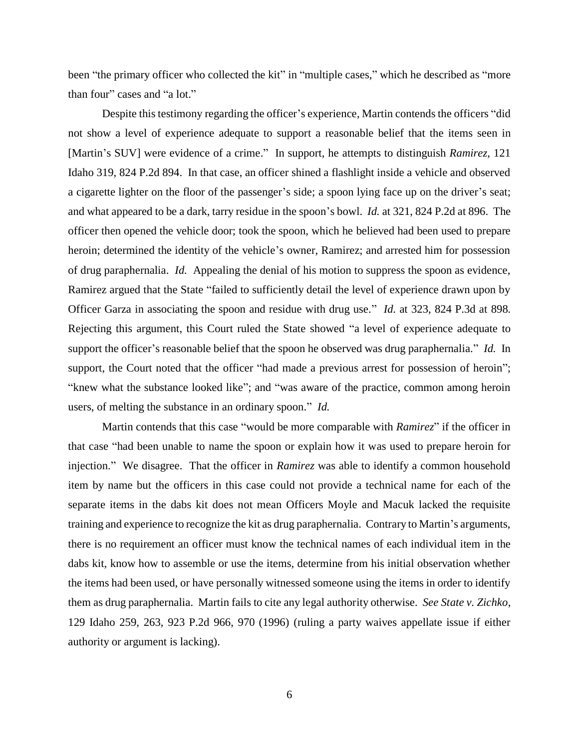been "the primary officer who collected the kit" in "multiple cases," which he described as "more than four" cases and "a lot."

Despite this testimony regarding the officer's experience, Martin contends the officers "did not show a level of experience adequate to support a reasonable belief that the items seen in [Martin's SUV] were evidence of a crime." In support, he attempts to distinguish *Ramirez*, 121 Idaho 319, 824 P.2d 894. In that case, an officer shined a flashlight inside a vehicle and observed a cigarette lighter on the floor of the passenger's side; a spoon lying face up on the driver's seat; and what appeared to be a dark, tarry residue in the spoon's bowl. *Id.* at 321, 824 P.2d at 896. The officer then opened the vehicle door; took the spoon, which he believed had been used to prepare heroin; determined the identity of the vehicle's owner, Ramirez; and arrested him for possession of drug paraphernalia. *Id.* Appealing the denial of his motion to suppress the spoon as evidence, Ramirez argued that the State "failed to sufficiently detail the level of experience drawn upon by Officer Garza in associating the spoon and residue with drug use." *Id.* at 323, 824 P.3d at 898. Rejecting this argument, this Court ruled the State showed "a level of experience adequate to support the officer's reasonable belief that the spoon he observed was drug paraphernalia." *Id.* In support, the Court noted that the officer "had made a previous arrest for possession of heroin"; "knew what the substance looked like"; and "was aware of the practice, common among heroin users, of melting the substance in an ordinary spoon." *Id.*

Martin contends that this case "would be more comparable with *Ramirez*" if the officer in that case "had been unable to name the spoon or explain how it was used to prepare heroin for injection." We disagree. That the officer in *Ramirez* was able to identify a common household item by name but the officers in this case could not provide a technical name for each of the separate items in the dabs kit does not mean Officers Moyle and Macuk lacked the requisite training and experience to recognize the kit as drug paraphernalia. Contrary to Martin's arguments, there is no requirement an officer must know the technical names of each individual item in the dabs kit, know how to assemble or use the items, determine from his initial observation whether the items had been used, or have personally witnessed someone using the items in order to identify them as drug paraphernalia. Martin fails to cite any legal authority otherwise. *See State v. Zichko*, 129 Idaho 259, 263, 923 P.2d 966, 970 (1996) (ruling a party waives appellate issue if either authority or argument is lacking).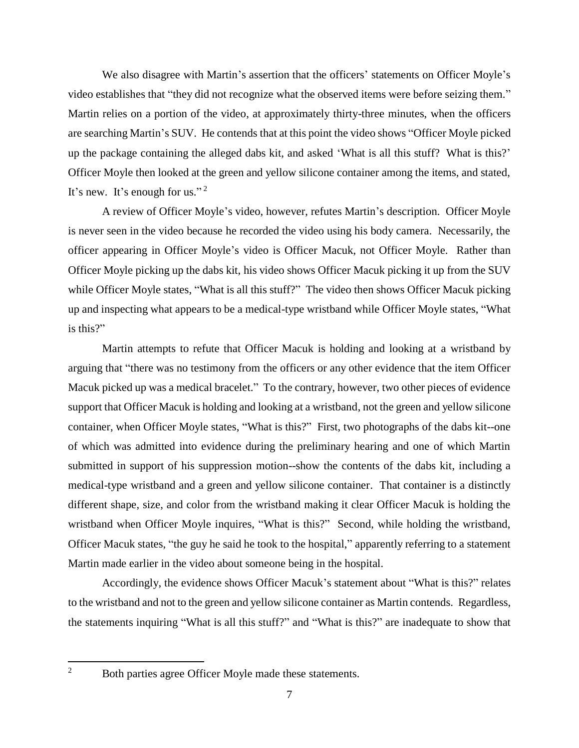We also disagree with Martin's assertion that the officers' statements on Officer Moyle's video establishes that "they did not recognize what the observed items were before seizing them." Martin relies on a portion of the video, at approximately thirty-three minutes, when the officers are searching Martin's SUV. He contends that at this point the video shows "Officer Moyle picked up the package containing the alleged dabs kit, and asked 'What is all this stuff? What is this?' Officer Moyle then looked at the green and yellow silicone container among the items, and stated, It's new. It's enough for us."<sup>2</sup>

A review of Officer Moyle's video, however, refutes Martin's description. Officer Moyle is never seen in the video because he recorded the video using his body camera. Necessarily, the officer appearing in Officer Moyle's video is Officer Macuk, not Officer Moyle. Rather than Officer Moyle picking up the dabs kit, his video shows Officer Macuk picking it up from the SUV while Officer Moyle states, "What is all this stuff?" The video then shows Officer Macuk picking up and inspecting what appears to be a medical-type wristband while Officer Moyle states, "What is this?"

Martin attempts to refute that Officer Macuk is holding and looking at a wristband by arguing that "there was no testimony from the officers or any other evidence that the item Officer Macuk picked up was a medical bracelet." To the contrary, however, two other pieces of evidence support that Officer Macuk is holding and looking at a wristband, not the green and yellow silicone container, when Officer Moyle states, "What is this?" First, two photographs of the dabs kit--one of which was admitted into evidence during the preliminary hearing and one of which Martin submitted in support of his suppression motion--show the contents of the dabs kit, including a medical-type wristband and a green and yellow silicone container. That container is a distinctly different shape, size, and color from the wristband making it clear Officer Macuk is holding the wristband when Officer Moyle inquires, "What is this?" Second, while holding the wristband, Officer Macuk states, "the guy he said he took to the hospital," apparently referring to a statement Martin made earlier in the video about someone being in the hospital.

Accordingly, the evidence shows Officer Macuk's statement about "What is this?" relates to the wristband and not to the green and yellow silicone container as Martin contends. Regardless, the statements inquiring "What is all this stuff?" and "What is this?" are inadequate to show that

 $\overline{2}$ 

Both parties agree Officer Moyle made these statements.